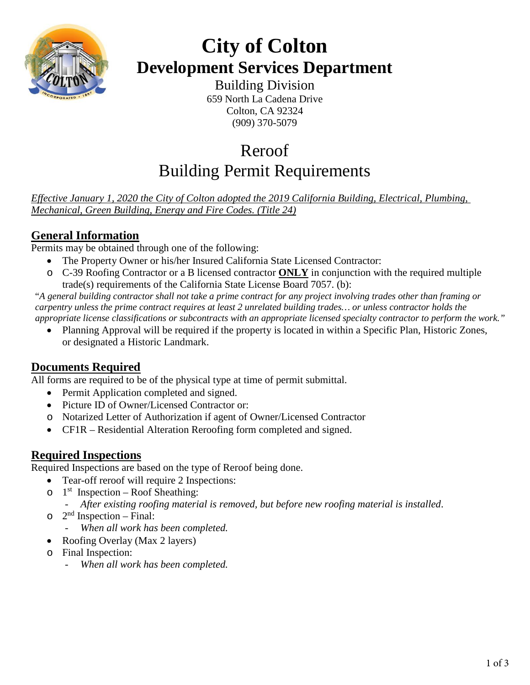

# **City of Colton Development Services Department**

Building Division 659 North La Cadena Drive Colton, CA 92324 (909) 370-5079

# Reroof Building Permit Requirements

*Effective January 1, 2020 the City of Colton adopted the 2019 California Building, Electrical, Plumbing, Mechanical, Green Building, Energy and Fire Codes. (Title 24)* 

## **General Information**

Permits may be obtained through one of the following:

- The Property Owner or his/her Insured California State Licensed Contractor:
- o C-39 Roofing Contractor or a B licensed contractor **ONLY** in conjunction with the required multiple trade(s) requirements of the California State License Board 7057. (b):

"*A general building contractor shall not take a prime contract for any project involving trades other than framing or carpentry unless the prime contract requires at least 2 unrelated building trades… or unless contractor holds the appropriate license classifications or subcontracts with an appropriate licensed specialty contractor to perform the work."*

• Planning Approval will be required if the property is located in within a Specific Plan, Historic Zones, or designated a Historic Landmark.

### **Documents Required**

All forms are required to be of the physical type at time of permit submittal.

- Permit Application completed and signed.
- Picture ID of Owner/Licensed Contractor or:
- o Notarized Letter of Authorization if agent of Owner/Licensed Contractor
- CF1R Residential Alteration Reroofing form completed and signed.

### **Required Inspections**

Required Inspections are based on the type of Reroof being done.

- Tear-off reroof will require 2 Inspections:
- $\circ$  1<sup>st</sup> Inspection Roof Sheathing:
	- *- After existing roofing material is removed, but before new roofing material is installed*.
- $\circ$  2<sup>nd</sup> Inspection Final:
	- *- When all work has been completed.*
- Roofing Overlay (Max 2 layers)
- o Final Inspection:
	- *- When all work has been completed.*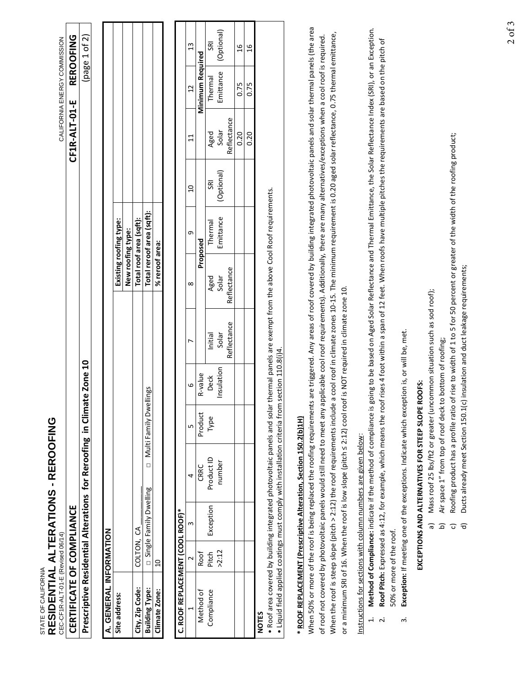| CERTIFICATE OF COMPLIANCE<br>A. GENERAL INFORMATION<br>Site address: |                          |                          |                                                                                                                                                                                                                                                                           |                        |                    |             |                                                                                                                        |                           |                |               |                  |                |
|----------------------------------------------------------------------|--------------------------|--------------------------|---------------------------------------------------------------------------------------------------------------------------------------------------------------------------------------------------------------------------------------------------------------------------|------------------------|--------------------|-------------|------------------------------------------------------------------------------------------------------------------------|---------------------------|----------------|---------------|------------------|----------------|
|                                                                      |                          |                          |                                                                                                                                                                                                                                                                           |                        |                    |             |                                                                                                                        |                           |                | CF1R-ALT-01-E |                  | REROOFING      |
|                                                                      |                          |                          | Prescriptive Residential Alterations for Reroofing in Climate Zone 10                                                                                                                                                                                                     |                        |                    |             |                                                                                                                        |                           |                |               |                  | (page 1 of 2)  |
|                                                                      |                          |                          |                                                                                                                                                                                                                                                                           |                        |                    |             |                                                                                                                        |                           |                |               |                  |                |
|                                                                      |                          |                          |                                                                                                                                                                                                                                                                           |                        |                    |             |                                                                                                                        | Existing roofing type:    |                |               |                  |                |
|                                                                      |                          |                          |                                                                                                                                                                                                                                                                           |                        |                    |             | New roofing type:                                                                                                      |                           |                |               |                  |                |
| City, Zip Code:                                                      | COLTON,                  | ვ                        |                                                                                                                                                                                                                                                                           |                        |                    |             |                                                                                                                        | Total roof area (sqft):   |                |               |                  |                |
| <b>Building Type:</b>                                                |                          | □ Single Family Dwelling | $\Box$                                                                                                                                                                                                                                                                    | Multi Family Dwellings |                    |             |                                                                                                                        | Total reroof area (sqft): |                |               |                  |                |
| Climate Zone:                                                        | $\Omega$                 |                          |                                                                                                                                                                                                                                                                           |                        |                    |             | % reroof area:                                                                                                         |                           |                |               |                  |                |
| C. ROOF REPLACEMENT (COOL ROOF)*                                     |                          |                          |                                                                                                                                                                                                                                                                           |                        |                    |             |                                                                                                                        |                           |                |               |                  |                |
|                                                                      |                          | $\mathsf{c}$             | 4                                                                                                                                                                                                                                                                         | ь                      | 9                  |             | $\infty$                                                                                                               | G                         | $\overline{a}$ | 11            | 12               | 13             |
| Method of                                                            | Roof                     |                          | CRRC                                                                                                                                                                                                                                                                      | Product                | R-value            |             |                                                                                                                        | Proposed                  |                |               | Minimum Required |                |
| Compliance                                                           | Pitch                    | Exception                | Product ID                                                                                                                                                                                                                                                                | Type                   | <b>Deck</b>        | Initial     | Aged                                                                                                                   | Thermal                   | <b>GRI</b>     | Aged          | Thermal          |                |
|                                                                      | >2:12                    |                          | number                                                                                                                                                                                                                                                                    |                        | Insulation         | Solar       | Solar                                                                                                                  | Emittance                 | (Optional)     | Solar         | Emittance        | (Optional)     |
|                                                                      |                          |                          |                                                                                                                                                                                                                                                                           |                        |                    | Reflectance | Reflectance                                                                                                            |                           |                | Reflectance   |                  |                |
|                                                                      |                          |                          |                                                                                                                                                                                                                                                                           |                        |                    |             |                                                                                                                        |                           |                | 0.20          | 0.75             | 16             |
|                                                                      |                          |                          |                                                                                                                                                                                                                                                                           |                        |                    |             |                                                                                                                        |                           |                | 0.20          | 0.75             | $\overline{a}$ |
| <b>NOTES</b>                                                         |                          |                          | . Roof area covered by building integrated photovoltaic panels and solar<br>• Liquid field applied coatings must comply with installation criteria from                                                                                                                   |                        | section 110.8(i)4. |             | thermal panels are exempt from the above Cool Roof requirements.                                                       |                           |                |               |                  |                |
|                                                                      |                          |                          | * ROOF REPLACEMENT (Prescriptive Alteration, Section 150.2(b)1H)                                                                                                                                                                                                          |                        |                    |             |                                                                                                                        |                           |                |               |                  |                |
|                                                                      |                          |                          | of roof not covered by photovoltaic panels would still need to meet any applicable cool roof requirements). Additionally, there are many alternatives/exceptions when a cool roof is required.<br>When 50% or more of the roof is being replaced the roofing requirements |                        |                    |             | are triggered. Any areas of roof covered by building integrated photovoltaic panels and solar thermal panels (the area |                           |                |               |                  |                |
|                                                                      |                          |                          | When the roof is steep slope (pitch > 2:12) the roof requirements include a cool roof in climate zones 10-15. The minimum requirement is 0.20 aged solar reflectance, 0.75 thermal emittance,                                                                             |                        |                    |             |                                                                                                                        |                           |                |               |                  |                |
|                                                                      |                          |                          | or a minimum SRI of 16. When the roof is low slope (pitch ≤ 2:12) cool roof is NOT required in climate zone 10.                                                                                                                                                           |                        |                    |             |                                                                                                                        |                           |                |               |                  |                |
|                                                                      |                          |                          | Instructions for sections with column numbers are given below:                                                                                                                                                                                                            |                        |                    |             |                                                                                                                        |                           |                |               |                  |                |
|                                                                      |                          |                          | Method of Compliance: indicate if the method of compliance is going to be based on Aged Solar Reflectance and Thermal Emittance, the Solar Reflectance Index (SRI), or an Exception.                                                                                      |                        |                    |             |                                                                                                                        |                           |                |               |                  |                |
| $\mathbf{r}$                                                         |                          |                          | Roof Pitch: Expressed as 4:12, for example, which means the roof rises 4 foot within a span of 12 feet. When roofs have multiple pitches the requirements are based on the pitch of                                                                                       |                        |                    |             |                                                                                                                        |                           |                |               |                  |                |
|                                                                      | 50% or more of the roof. |                          |                                                                                                                                                                                                                                                                           |                        |                    |             |                                                                                                                        |                           |                |               |                  |                |
| $\dot{\mathsf{m}}$                                                   |                          |                          | <b>Exception:</b> If meeting one of the exceptions. Indicate which exception is, or will be, met.                                                                                                                                                                         |                        |                    |             |                                                                                                                        |                           |                |               |                  |                |
|                                                                      |                          |                          | EXCEPTIONS AND ALTERNATIVES FOR STEEP SLOPE ROOFS:                                                                                                                                                                                                                        |                        |                    |             |                                                                                                                        |                           |                |               |                  |                |
|                                                                      |                          | බ                        | Mass roof 25 lbs/ft2 or greater (uncommon situation such as sod roof);                                                                                                                                                                                                    |                        |                    |             |                                                                                                                        |                           |                |               |                  |                |

- Mass roof 25 lbs/ft2 or greater (uncommon situation such as sod roof);<br>Air space 1″ from top of roof deck to bottom of roofing; b) Air space 1" from top of roof deck to bottom of roofing;
- Roofing product has a profile ratio of rise to width of 1 to 5 for 50 percent or greater of the width of the roofing product;<br>Ducts already meet Section 150.1(c) insulation and duct leakage requirements; c) Roofing product has a profile ratio of rise to width of 1 to 5 for 50 percent or greater of the width of the roofing product; -<br>ବିଦିପି କି
	- d) Ducts already meet Section 150.1(c) insulation and duct leakage requirements;